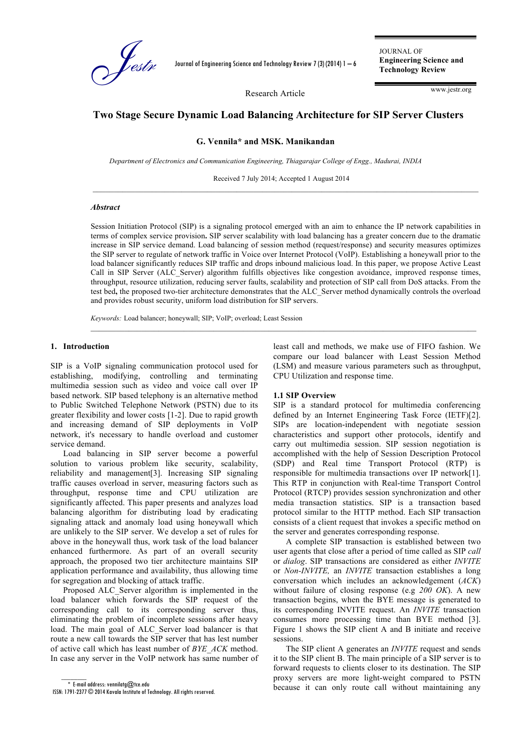

Journal of Engineering Science and Technology Review 7 (3) (2014) 1 – 6

JOURNAL OF **Engineering Science and Technology Review**

Research Article

#### www.jestr.org

# **Two Stage Secure Dynamic Load Balancing Architecture for SIP Server Clusters**

**G. Vennila\* and MSK. Manikandan**

*Department of Electronics and Communication Engineering, Thiagarajar College of Engg., Madurai, INDIA*

Received 7 July 2014; Accepted 1 August 2014

### *Abstract*

Session Initiation Protocol (SIP) is a signaling protocol emerged with an aim to enhance the IP network capabilities in terms of complex service provision**.** SIP server scalability with load balancing has a greater concern due to the dramatic increase in SIP service demand. Load balancing of session method (request/response) and security measures optimizes the SIP server to regulate of network traffic in Voice over Internet Protocol (VoIP). Establishing a honeywall prior to the load balancer significantly reduces SIP traffic and drops inbound malicious load. In this paper, we propose Active Least Call in SIP Server (ALC\_Server) algorithm fulfills objectives like congestion avoidance, improved response times, throughput, resource utilization, reducing server faults, scalability and protection of SIP call from DoS attacks. From the test bed**,** the proposed two-tier architecture demonstrates that the ALC\_Server method dynamically controls the overload and provides robust security, uniform load distribution for SIP servers.

 $\mathcal{L}_\mathcal{L}$ 

*Keywords:* Load balancer; honeywall; SIP; VoIP; overload; Least Session

### **1. Introduction**

SIP is a VoIP signaling communication protocol used for establishing, modifying, controlling and terminating multimedia session such as video and voice call over IP based network. SIP based telephony is an alternative method to Public Switched Telephone Network (PSTN) due to its greater flexibility and lower costs [1-2]. Due to rapid growth and increasing demand of SIP deployments in VoIP network, it's necessary to handle overload and customer service demand.

Load balancing in SIP server become a powerful solution to various problem like security, scalability, reliability and management[3]. Increasing SIP signaling traffic causes overload in server, measuring factors such as throughput, response time and CPU utilization are significantly affected. This paper presents and analyzes load balancing algorithm for distributing load by eradicating signaling attack and anomaly load using honeywall which are unlikely to the SIP server. We develop a set of rules for above in the honeywall thus, work task of the load balancer enhanced furthermore. As part of an overall security approach, the proposed two tier architecture maintains SIP application performance and availability, thus allowing time for segregation and blocking of attack traffic.

Proposed ALC\_Server algorithm is implemented in the load balancer which forwards the SIP request of the corresponding call to its corresponding server thus, eliminating the problem of incomplete sessions after heavy load. The main goal of ALC Server load balancer is that route a new call towards the SIP server that has lest number of active call which has least number of *BYE\_ACK* method. In case any server in the VoIP network has same number of

 $\overline{\phantom{a}}$ 

least call and methods, we make use of FIFO fashion. We compare our load balancer with Least Session Method (LSM) and measure various parameters such as throughput, CPU Utilization and response time.

#### **1.1 SIP Overview**

SIP is a standard protocol for multimedia conferencing defined by an Internet Engineering Task Force (IETF)[2]. SIPs are location-independent with negotiate session characteristics and support other protocols, identify and carry out multimedia session. SIP session negotiation is accomplished with the help of Session Description Protocol (SDP) and Real time Transport Protocol (RTP) is responsible for multimedia transactions over IP network[1]. This RTP in conjunction with Real-time Transport Control Protocol (RTCP) provides session synchronization and other media transaction statistics. SIP is a transaction based protocol similar to the HTTP method. Each SIP transaction consists of a client request that invokes a specific method on the server and generates corresponding response.

A complete SIP transaction is established between two user agents that close after a period of time called as SIP *call* or *dialog*. SIP transactions are considered as either *INVITE* or *Non-INVITE,* an *INVITE* transaction establishes a long conversation which includes an acknowledgement (*ACK*) without failure of closing response (e.g *200 OK*). A new transaction begins, when the BYE message is generated to its corresponding INVITE request. An *INVITE* transaction consumes more processing time than BYE method [3]. Figure 1 shows the SIP client A and B initiate and receive sessions.

The SIP client A generates an *INVITE* request and sends it to the SIP client B. The main principle of a SIP server is to forward requests to clients closer to its destination. The SIP proxy servers are more light-weight compared to PSTN because it can only route call without maintaining any

 $*$  E-mail address: vennilatg $@$ tce.edu

ISSN: 1791-2377 © 2014 Kavala Institute of Technology. All rights reserved.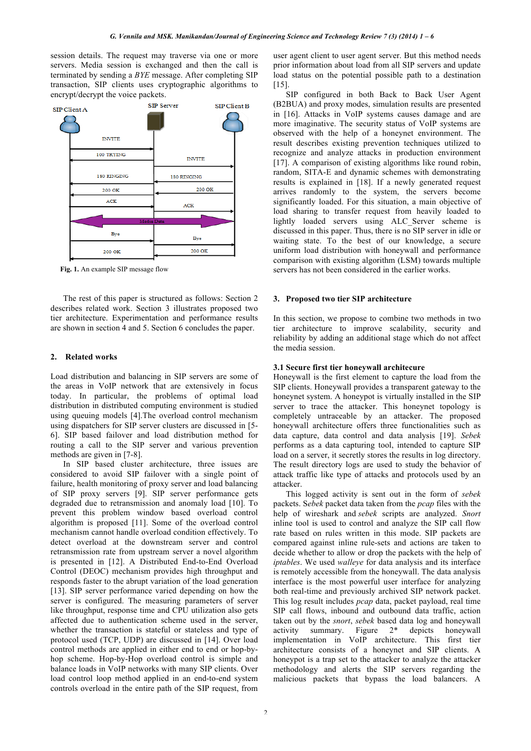session details. The request may traverse via one or more servers. Media session is exchanged and then the call is terminated by sending a *BYE* message. After completing SIP transaction, SIP clients uses cryptographic algorithms to encrypt/decrypt the voice packets.



**Fig. 1.** An example SIP message flow

The rest of this paper is structured as follows: Section 2 describes related work. Section 3 illustrates proposed two tier architecture. Experimentation and performance results are shown in section 4 and 5. Section 6 concludes the paper.

### **2. Related works**

Load distribution and balancing in SIP servers are some of the areas in VoIP network that are extensively in focus today. In particular, the problems of optimal load distribution in distributed computing environment is studied using queuing models [4].The overload control mechanism using dispatchers for SIP server clusters are discussed in [5- 6]. SIP based failover and load distribution method for routing a call to the SIP server and various prevention methods are given in [7-8].

In SIP based cluster architecture, three issues are considered to avoid SIP failover with a single point of failure, health monitoring of proxy server and load balancing of SIP proxy servers [9]. SIP server performance gets degraded due to retransmission and anomaly load [10]. To prevent this problem window based overload control algorithm is proposed [11]. Some of the overload control mechanism cannot handle overload condition effectively. To detect overload at the downstream server and control retransmission rate from upstream server a novel algorithm is presented in [12]. A Distributed End-to-End Overload Control (DEOC) mechanism provides high throughput and responds faster to the abrupt variation of the load generation [13]. SIP server performance varied depending on how the server is configured. The measuring parameters of server like throughput, response time and CPU utilization also gets affected due to authentication scheme used in the server, whether the transaction is stateful or stateless and type of protocol used (TCP, UDP) are discussed in [14]. Over load control methods are applied in either end to end or hop-byhop scheme. Hop-by-Hop overload control is simple and balance loads in VoIP networks with many SIP clients. Over load control loop method applied in an end-to-end system controls overload in the entire path of the SIP request, from

user agent client to user agent server. But this method needs prior information about load from all SIP servers and update load status on the potential possible path to a destination [15].

SIP configured in both Back to Back User Agent (B2BUA) and proxy modes, simulation results are presented in [16]. Attacks in VoIP systems causes damage and are more imaginative. The security status of VoIP systems are observed with the help of a honeynet environment. The result describes existing prevention techniques utilized to recognize and analyze attacks in production environment [17]. A comparison of existing algorithms like round robin, random, SITA-E and dynamic schemes with demonstrating results is explained in [18]. If a newly generated request arrives randomly to the system, the servers become significantly loaded. For this situation, a main objective of load sharing to transfer request from heavily loaded to lightly loaded servers using ALC\_Server scheme is discussed in this paper. Thus, there is no SIP server in idle or waiting state. To the best of our knowledge, a secure uniform load distribution with honeywall and performance comparison with existing algorithm (LSM) towards multiple servers has not been considered in the earlier works.

## **3. Proposed two tier SIP architecture**

In this section, we propose to combine two methods in two tier architecture to improve scalability, security and reliability by adding an additional stage which do not affect the media session.

#### **3.1 Secure first tier honeywall architecure**

Honeywall is the first element to capture the load from the SIP clients. Honeywall provides a transparent gateway to the honeynet system. A honeypot is virtually installed in the SIP server to trace the attacker. This honeynet topology is completely untraceable by an attacker. The proposed honeywall architecture offers three functionalities such as data capture, data control and data analysis [19]. *Sebek* performs as a data capturing tool, intended to capture SIP load on a server, it secretly stores the results in log directory. The result directory logs are used to study the behavior of attack traffic like type of attacks and protocols used by an attacker.

This logged activity is sent out in the form of *sebek* packets. S*ebek* packet data taken from the *pcap* files with the help of wireshark and *sebek* scripts are analyzed. *Snort* inline tool is used to control and analyze the SIP call flow rate based on rules written in this mode. SIP packets are compared against inline rule-sets and actions are taken to decide whether to allow or drop the packets with the help of *iptables*. We used *walleye* for data analysis and its interface is remotely accessible from the honeywall. The data analysis interface is the most powerful user interface for analyzing both real-time and previously archived SIP network packet. This log result includes *pcap* data, packet payload, real time SIP call flows, inbound and outbound data traffic, action taken out by the *snort*, *sebek* based data log and honeywall activity summary. Figure 2\* depicts honeywall implementation in VoIP architecture. This first tier architecture consists of a honeynet and SIP clients. A honeypot is a trap set to the attacker to analyze the attacker methodology and alerts the SIP servers regarding the malicious packets that bypass the load balancers. A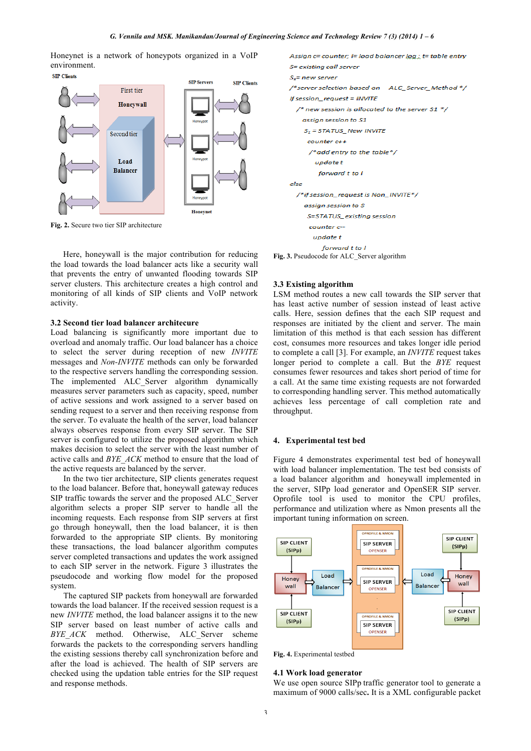Honeynet is a network of honeypots organized in a VoIP environment.



**Fig. 2.** Secure two tier SIP architecture

Here, honeywall is the major contribution for reducing the load towards the load balancer acts like a security wall that prevents the entry of unwanted flooding towards SIP server clusters. This architecture creates a high control and monitoring of all kinds of SIP clients and VoIP network activity.

#### **3.2 Second tier load balancer architecure**

Load balancing is significantly more important due to overload and anomaly traffic. Our load balancer has a choice to select the server during reception of new *INVITE* messages and *Non-INVITE* methods can only be forwarded to the respective servers handling the corresponding session. The implemented ALC Server algorithm dynamically measures server parameters such as capacity, speed, number of active sessions and work assigned to a server based on sending request to a server and then receiving response from the server. To evaluate the health of the server, load balancer always observes response from every SIP server. The SIP server is configured to utilize the proposed algorithm which makes decision to select the server with the least number of active calls and *BYE\_ACK* method to ensure that the load of the active requests are balanced by the server.

In the two tier architecture, SIP clients generates request to the load balancer. Before that, honeywall gateway reduces SIP traffic towards the server and the proposed ALC\_Server algorithm selects a proper SIP server to handle all the incoming requests. Each response from SIP servers at first go through honeywall, then the load balancer, it is then forwarded to the appropriate SIP clients. By monitoring these transactions, the load balancer algorithm computes server completed transactions and updates the work assigned to each SIP server in the network. Figure 3 illustrates the pseudocode and working flow model for the proposed system.

The captured SIP packets from honeywall are forwarded towards the load balancer. If the received session request is a new *INVITE* method, the load balancer assigns it to the new SIP server based on least number of active calls and *BYE\_ACK* method. Otherwise, ALC\_Server scheme forwards the packets to the corresponding servers handling the existing sessions thereby call synchronization before and after the load is achieved. The health of SIP servers are checked using the updation table entries for the SIP request and response methods.



**Fig. 3.** Pseudocode for ALC\_Server algorithm

#### **3.3 Existing algorithm**

LSM method routes a new call towards the SIP server that has least active number of session instead of least active calls. Here, session defines that the each SIP request and responses are initiated by the client and server. The main limitation of this method is that each session has different cost, consumes more resources and takes longer idle period to complete a call [3]. For example, an *INVITE* request takes longer period to complete a call. But the *BYE* request consumes fewer resources and takes short period of time for a call. At the same time existing requests are not forwarded to corresponding handling server. This method automatically achieves less percentage of call completion rate and throughput.

### **4. Experimental test bed**

Figure 4 demonstrates experimental test bed of honeywall with load balancer implementation. The test bed consists of a load balancer algorithm and honeywall implemented in the server, SIPp load generator and OpenSER SIP server. Oprofile tool is used to monitor the CPU profiles, performance and utilization where as Nmon presents all the important tuning information on screen.



**Fig. 4.** Experimental testbed

#### **4.1 Work load generator**

We use open source SIPp traffic generator tool to generate a maximum of 9000 calls/sec**.** It is a XML configurable packet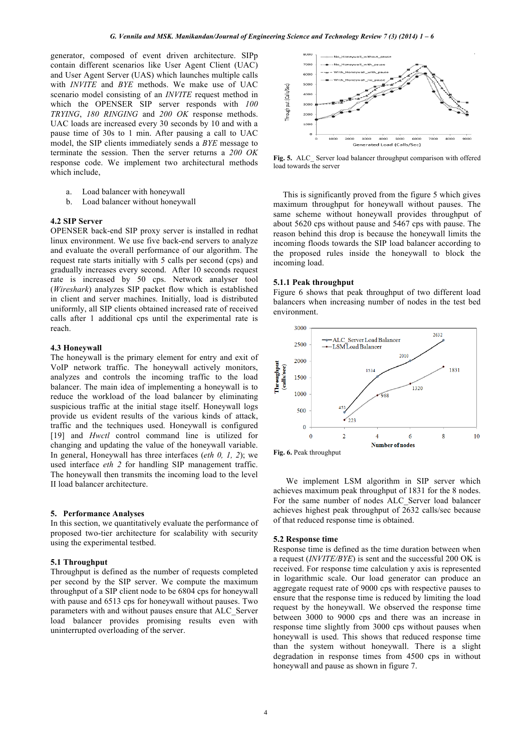generator, composed of event driven architecture. SIPp contain different scenarios like User Agent Client (UAC) and User Agent Server (UAS) which launches multiple calls with *INVITE* and *BYE* methods. We make use of UAC scenario model consisting of an *INVITE* request method in which the OPENSER SIP server responds with *100 TRYING*, *180 RINGING* and *200 OK* response methods. UAC loads are increased every 30 seconds by 10 and with a pause time of 30s to 1 min. After pausing a call to UAC model, the SIP clients immediately sends a *BYE* message to terminate the session. Then the server returns a *200 OK* response code. We implement two architectural methods which include,

- a. Load balancer with honeywall
- b. Load balancer without honeywall

### **4.2 SIP Server**

OPENSER back-end SIP proxy server is installed in redhat linux environment. We use five back-end servers to analyze and evaluate the overall performance of our algorithm. The request rate starts initially with 5 calls per second (cps) and gradually increases every second. After 10 seconds request rate is increased by 50 cps. Network analyser tool (*Wireshark*) analyzes SIP packet flow which is established in client and server machines. Initially, load is distributed uniformly, all SIP clients obtained increased rate of received calls after 1 additional cps until the experimental rate is reach.

### **4.3 Honeywall**

The honeywall is the primary element for entry and exit of VoIP network traffic. The honeywall actively monitors, analyzes and controls the incoming traffic to the load balancer. The main idea of implementing a honeywall is to reduce the workload of the load balancer by eliminating suspicious traffic at the initial stage itself. Honeywall logs provide us evident results of the various kinds of attack, traffic and the techniques used. Honeywall is configured [19] and *Hwctl* control command line is utilized for changing and updating the value of the honeywall variable. In general, Honeywall has three interfaces (*eth 0, 1, 2*); we used interface *eth 2* for handling SIP management traffic. The honeywall then transmits the incoming load to the level II load balancer architecture.

#### **5. Performance Analyses**

In this section, we quantitatively evaluate the performance of proposed two-tier architecture for scalability with security using the experimental testbed.

### **5.1 Throughput**

Throughput is defined as the number of requests completed per second by the SIP server. We compute the maximum throughput of a SIP client node to be  $6804$  cps for honeywall with pause and 6513 cps for honeywall without pauses. Two parameters with and without pauses ensure that ALC\_Server load balancer provides promising results even with uninterrupted overloading of the server.



**Fig. 5.** ALC\_ Server load balancer throughput comparison with offered load towards the server

This is significantly proved from the figure 5 which gives maximum throughput for honeywall without pauses. The same scheme without honeywall provides throughput of about 5620 cps without pause and 5467 cps with pause. The reason behind this drop is because the honeywall limits the incoming floods towards the SIP load balancer according to the proposed rules inside the honeywall to block the incoming load.

#### **5.1.1 Peak throughput**

Figure 6 shows that peak throughput of two different load balancers when increasing number of nodes in the test bed environment.



We implement LSM algorithm in SIP server which achieves maximum peak throughput of 1831 for the 8 nodes. For the same number of nodes ALC\_Server load balancer achieves highest peak throughput of 2632 calls/sec because of that reduced response time is obtained.

#### **5.2 Response time**

Response time is defined as the time duration between when a request (*INVITE/BYE*) is sent and the successful 200 OK is received. For response time calculation y axis is represented in logarithmic scale. Our load generator can produce an aggregate request rate of 9000 cps with respective pauses to ensure that the response time is reduced by limiting the load request by the honeywall. We observed the response time between 3000 to 9000 cps and there was an increase in response time slightly from 3000 cps without pauses when honeywall is used. This shows that reduced response time than the system without honeywall. There is a slight degradation in response times from 4500 cps in without honeywall and pause as shown in figure 7.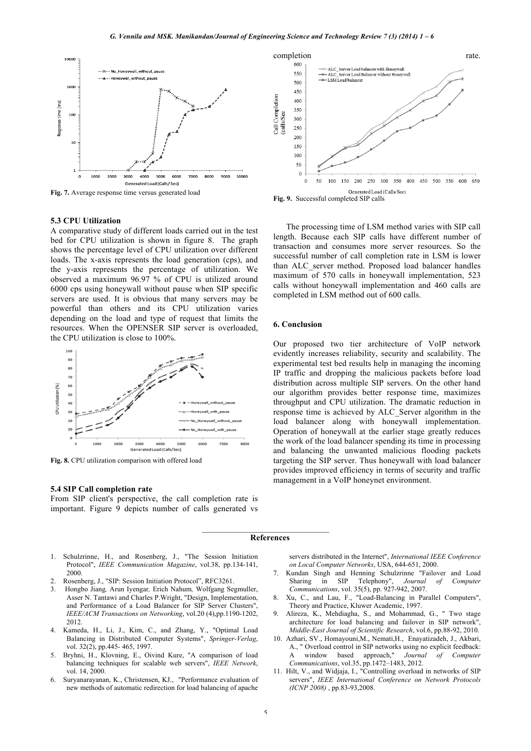

**Fig. 7.** Average response time versus generated load

#### **5.3 CPU Utilization**

A comparative study of different loads carried out in the test bed for CPU utilization is shown in figure 8. The graph shows the percentage level of CPU utilization over different loads. The x-axis represents the load generation (cps), and the y-axis represents the percentage of utilization. We observed a maximum 96.97 % of CPU is utilized around 6000 cps using honeywall without pause when SIP specific servers are used. It is obvious that many servers may be powerful than others and its CPU utilization varies depending on the load and type of request that limits the resources. When the OPENSER SIP server is overloaded, the CPU utilization is close to 100%.



**Fig. 8.** CPU utilization comparison with offered load

#### **5.4 SIP Call completion rate**

From SIP client's perspective, the call completion rate is important. Figure 9 depicts number of calls generated vs



**Fig. 9.** Successful completed SIP calls

The processing time of LSM method varies with SIP call length. Because each SIP calls have different number of transaction and consumes more server resources. So the successful number of call completion rate in LSM is lower than ALC\_server method. Proposed load balancer handles maximum of 570 calls in honeywall implementation, 523 calls without honeywall implementation and 460 calls are completed in LSM method out of 600 calls.

#### **6. Conclusion**

Our proposed two tier architecture of VoIP network evidently increases reliability, security and scalability. The experimental test bed results help in managing the incoming IP traffic and dropping the malicious packets before load distribution across multiple SIP servers. On the other hand our algorithm provides better response time, maximizes throughput and CPU utilization. The dramatic reduction in response time is achieved by ALC\_Server algorithm in the load balancer along with honeywall implementation. Operation of honeywall at the earlier stage greatly reduces the work of the load balancer spending its time in processing and balancing the unwanted malicious flooding packets targeting the SIP server. Thus honeywall with load balancer provides improved efficiency in terms of security and traffic management in a VoIP honeynet environment.

#### **References**

- 1. Schulzrinne, H., and Rosenberg, J., "The Session Initiation Protocol", *IEEE Communication Magazine*, vol.38, pp.134-141, 2000.
- 2. Rosenberg, J., "SIP: Session Initiation Protocol", RFC3261.
- 3. Hongbo Jiang*,* Arun Iyengar*,* Erich Nahum*,* Wolfgang Segmuller, Asser N. Tantawi and Charles P.Wright, "Design, Implementation, and Performance of a Load Balancer for SIP Server Clusters", *IEEE/ACM Transactions on Networking*, vol.20 (4),pp.1190-1202, 2012.
- 4. Kameda, H., Li, J., Kim, C., and Zhang, Y., "Optimal Load Balancing in Distributed Computer Systems", *Springer-Verlag*, vol. 32(2), pp.445- 465, 1997.
- 5. Bryhni, H., Klovning, E., Oivind Kure, "A comparison of load balancing techniques for scalable web servers", *IEEE Network*, vol. 14, 2000.
- 6. Suryanarayanan, K., Christensen, KJ., "Performance evaluation of new methods of automatic redirection for load balancing of apache

servers distributed in the Internet", *International IEEE Conference on Local Computer Networks*, USA, 644-651, 2000.

- 7. Kundan Singh and Henning Schulzrinne "Failover and Load Sharing in SIP Telephony", *Journal of Computer Communications*, vol. 35(5), pp. 927-942, 2007.
- 8. Xu, C., and Lau, F., "Load-Balancing in Parallel Computers", Theory and Practice, Kluwer Academic, 1997.
- 9. Alireza, K., Mehdiagha, S., and Mohammad, G., " Two stage architecture for load balancing and failover in SIP network", *Middle-East Journal of Scientific Research*, vol.6, pp.88-92, 2010.
- 10. Azhari, SV., Homayouni,M., Nemati,H., Enayatizadeh, J., Akbari, A., " Overload control in SIP networks using no explicit feedback: window based approach," *Journal of Computer Communications*, vol.35, pp.1472–1483, 2012.
- 11. Hilt, V., and Widjaja, I., "Controlling overload in networks of SIP servers", *IEEE International Conference on Network Protocols (ICNP 2008)* , pp.83-93,2008.